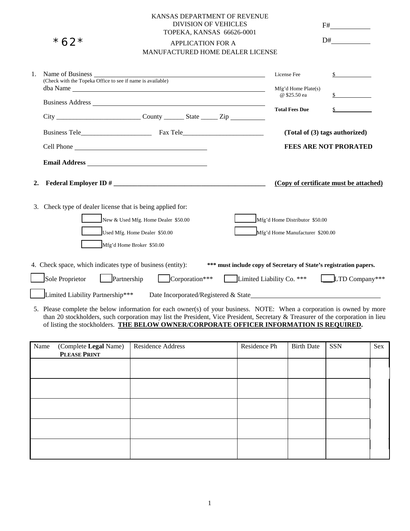|    |                  |                                                                                                                                                                                                                                     |                          | KANSAS DEPARTMENT OF REVENUE<br><b>DIVISION OF VEHICLES</b> |                                  |                                        |
|----|------------------|-------------------------------------------------------------------------------------------------------------------------------------------------------------------------------------------------------------------------------------|--------------------------|-------------------------------------------------------------|----------------------------------|----------------------------------------|
|    |                  |                                                                                                                                                                                                                                     |                          | TOPEKA, KANSAS 66626-0001                                   |                                  | D#                                     |
|    | *62*             |                                                                                                                                                                                                                                     | <b>APPLICATION FOR A</b> | MANUFACTURED HOME DEALER LICENSE                            |                                  |                                        |
|    |                  |                                                                                                                                                                                                                                     |                          |                                                             |                                  |                                        |
| 1. | Name of Business |                                                                                                                                                                                                                                     |                          |                                                             | License Fee                      | $\mathbb{S}$                           |
|    |                  | dba Name                                                                                                                                                                                                                            |                          |                                                             | $Mfg'd$ Home Plate $(s)$         |                                        |
|    |                  | Business Address <u>Denomination</u> and the property of the set of the set of the set of the set of the set of the set of the set of the set of the set of the set of the set of the set of the set of the set of the set of the s |                          |                                                             | @ \$25.50 ea                     | $\mathbb{S}$                           |
|    |                  |                                                                                                                                                                                                                                     |                          |                                                             | <b>Total Fees Due</b>            |                                        |
|    |                  |                                                                                                                                                                                                                                     |                          |                                                             |                                  |                                        |
|    |                  |                                                                                                                                                                                                                                     |                          |                                                             |                                  | (Total of (3) tags authorized)         |
|    |                  | Cell Phone                                                                                                                                                                                                                          |                          |                                                             |                                  | <b>FEES ARE NOT PRORATED</b>           |
|    |                  |                                                                                                                                                                                                                                     |                          |                                                             |                                  |                                        |
| 2. |                  |                                                                                                                                                                                                                                     |                          |                                                             |                                  | (Copy of certificate must be attached) |
|    |                  | 3. Check type of dealer license that is being applied for:                                                                                                                                                                          |                          |                                                             |                                  |                                        |
|    |                  | New & Used Mfg. Home Dealer \$50.00                                                                                                                                                                                                 |                          |                                                             | Mfg'd Home Distributor \$50.00   |                                        |
|    |                  | Used Mfg. Home Dealer \$50.00                                                                                                                                                                                                       |                          |                                                             | Mfg'd Home Manufacturer \$200.00 |                                        |
|    |                  | Mfg'd Home Broker \$50.00                                                                                                                                                                                                           |                          |                                                             |                                  |                                        |
|    |                  | 4. Check space, which indicates type of business (entity): *** must include copy of Secretary of State's registration papers.                                                                                                       |                          |                                                             |                                  |                                        |
|    | Sole Proprietor  | $\vert$ <b>Partnership</b>                                                                                                                                                                                                          | $Corporation***$         |                                                             | <b>Limited Liability Co.</b> *** | $LTD$ Company***                       |
|    |                  |                                                                                                                                                                                                                                     |                          |                                                             |                                  |                                        |
|    |                  | 5. Dlease complete the holom information for each owner(a) of your business. NOTE, When a componion is owned by more                                                                                                                |                          |                                                             |                                  |                                        |

5. Please complete the below information for each owner(s) of your business. NOTE: When a corporation is owned by more than 20 stockholders, such corporation may list the President, Vice President, Secretary & Treasurer of the corporation in lieu of listing the stockholders. **THE BELOW OWNER/CORPORATE OFFICER INFORMATION IS REQUIRED.** 

| Name | (Complete Legal Name)<br>PLEASE PRINT | Residence Address | Residence Ph | <b>Birth Date</b> | <b>SSN</b> | Sex |
|------|---------------------------------------|-------------------|--------------|-------------------|------------|-----|
|      |                                       |                   |              |                   |            |     |
|      |                                       |                   |              |                   |            |     |
|      |                                       |                   |              |                   |            |     |
|      |                                       |                   |              |                   |            |     |
|      |                                       |                   |              |                   |            |     |
|      |                                       |                   |              |                   |            |     |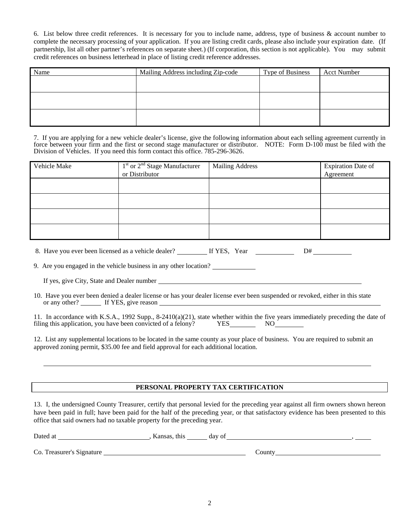6. List below three credit references. It is necessary for you to include name, address, type of business & account number to complete the necessary processing of your application. If you are listing credit cards, please also include your expiration date. (If partnership, list all other partner's references on separate sheet.) (If corporation, this section is not applicable). You may submit credit references on business letterhead in place of listing credit reference addresses.

| Name | Mailing Address including Zip-code | <b>Type of Business</b> | <b>Acct Number</b> |
|------|------------------------------------|-------------------------|--------------------|
|      |                                    |                         |                    |
|      |                                    |                         |                    |
|      |                                    |                         |                    |
|      |                                    |                         |                    |
|      |                                    |                         |                    |
|      |                                    |                         |                    |

7. If you are applying for a new vehicle dealer's license, give the following information about each selling agreement currently in force between your firm and the first or second stage manufacturer or distributor. NOTE: Form D-100 must be filed with the Division of Vehicles. If you need this form contact this office. 785-296-3626.

| Vehicle Make | $1st$ or $2nd$ Stage Manufacturer<br>or Distributor | <b>Mailing Address</b> | Expiration Date of<br>Agreement |
|--------------|-----------------------------------------------------|------------------------|---------------------------------|
|              |                                                     |                        |                                 |
|              |                                                     |                        |                                 |
|              |                                                     |                        |                                 |
|              |                                                     |                        |                                 |

|  | 8. Have you ever been licensed as a vehicle dealer? | If YES. Year |  |  |
|--|-----------------------------------------------------|--------------|--|--|
|  |                                                     |              |  |  |

9. Are you engaged in the vehicle business in any other location?

If yes, give City, State and Dealer number

10. Have you ever been denied a dealer license or has your dealer license ever been suspended or revoked, either in this state or any other? If YES, give reason

11. In accordance with K.S.A., 1992 Supp., 8-2410(a)(21), state whether within the five years immediately preceding the date of filing this application, you have been convicted of a felony? YES NO filing this application, you have been convicted of a felony?

12. List any supplemental locations to be located in the same county as your place of business. You are required to submit an approved zoning permit, \$35.00 fee and field approval for each additional location.

## **PERSONAL PROPERTY TAX CERTIFICATION**

13. I, the undersigned County Treasurer, certify that personal levied for the preceding year against all firm owners shown hereon have been paid in full; have been paid for the half of the preceding year, or that satisfactory evidence has been presented to this office that said owners had no taxable property for the preceding year.

| Dated at                  | Kansas, this | day of |        |  |
|---------------------------|--------------|--------|--------|--|
|                           |              |        |        |  |
| Co. Treasurer's Signature |              |        | County |  |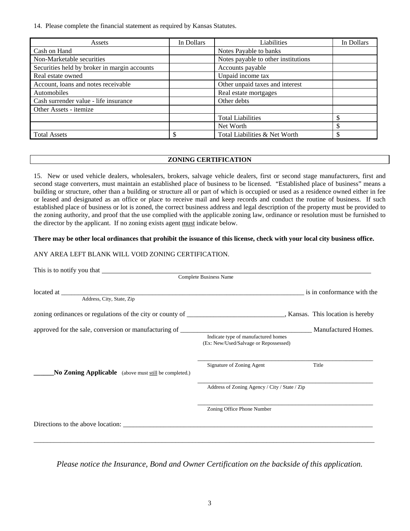14. Please complete the financial statement as required by Kansas Statutes.

| Assets                                       | In Dollars | Liabilities                         | In Dollars |
|----------------------------------------------|------------|-------------------------------------|------------|
| Cash on Hand                                 |            | Notes Payable to banks              |            |
| Non-Marketable securities                    |            | Notes payable to other institutions |            |
| Securities held by broker in margin accounts |            | Accounts payable                    |            |
| Real estate owned                            |            | Unpaid income tax                   |            |
| Account, loans and notes receivable          |            | Other unpaid taxes and interest     |            |
| Automobiles                                  |            | Real estate mortgages               |            |
| Cash surrender value - life insurance        |            | Other debts                         |            |
| Other Assets - itemize                       |            |                                     |            |
|                                              |            | <b>Total Liabilities</b>            | \$         |
|                                              |            | Net Worth                           | \$         |
| <b>Total Assets</b>                          |            | Total Liabilities & Net Worth       | \$         |

### **ZONING CERTIFICATION**

15. New or used vehicle dealers, wholesalers, brokers, salvage vehicle dealers, first or second stage manufacturers, first and second stage converters, must maintain an established place of business to be licensed. "Established place of business" means a building or structure, other than a building or structure all or part of which is occupied or used as a residence owned either in fee or leased and designated as an office or place to receive mail and keep records and conduct the routine of business. If such established place of business or lot is zoned, the correct business address and legal description of the property must be provided to the zoning authority, and proof that the use complied with the applicable zoning law, ordinance or resolution must be furnished to the director by the applicant. If no zoning exists agent must indicate below.

### **There may be other local ordinances that prohibit the issuance of this license, check with your local city business office.**

## ANY AREA LEFT BLANK WILL VOID ZONING CERTIFICATION.

|                                                       | <b>Complete Business Name</b>                                                |                            |
|-------------------------------------------------------|------------------------------------------------------------------------------|----------------------------|
| Address, City, State, Zip                             |                                                                              | is in conformance with the |
|                                                       |                                                                              |                            |
|                                                       | Indicate type of manufactured homes<br>(Ex: New/Used/Salvage or Repossessed) | Manufactured Homes.        |
| No Zoning Applicable (above must still be completed.) | Signature of Zoning Agent                                                    | Title                      |
|                                                       | Address of Zoning Agency / City / State / Zip                                |                            |
|                                                       | Zoning Office Phone Number                                                   |                            |
|                                                       |                                                                              |                            |
|                                                       |                                                                              |                            |

*Please notice the Insurance, Bond and Owner Certification on the backside of this application.*